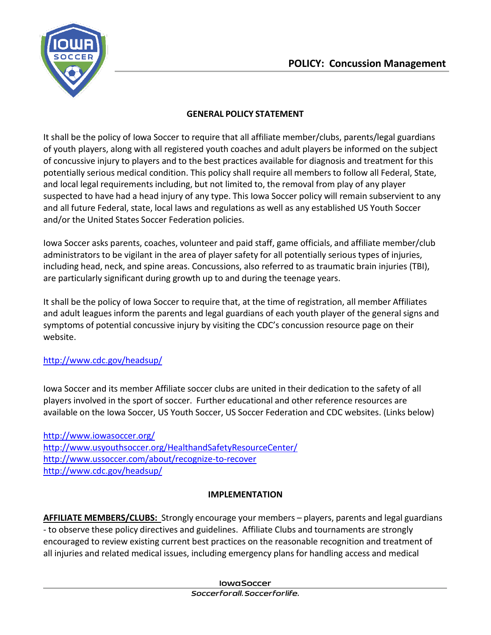

### **GENERAL POLICY STATEMENT**

It shall be the policy of Iowa Soccer to require that all affiliate member/clubs, parents/legal guardians of youth players, along with all registered youth coaches and adult players be informed on the subject of concussive injury to players and to the best practices available for diagnosis and treatment for this potentially serious medical condition. This policy shall require all members to follow all Federal, State, and local legal requirements including, but not limited to, the removal from play of any player suspected to have had a head injury of any type. This Iowa Soccer policy will remain subservient to any and all future Federal, state, local laws and regulations as well as any established US Youth Soccer and/or the United States Soccer Federation policies.

Iowa Soccer asks parents, coaches, volunteer and paid staff, game officials, and affiliate member/club administrators to be vigilant in the area of player safety for all potentially serious types of injuries, including head, neck, and spine areas. Concussions, also referred to as traumatic brain injuries (TBI), are particularly significant during growth up to and during the teenage years.

It shall be the policy of Iowa Soccer to require that, at the time of registration, all member Affiliates and adult leagues inform the parents and legal guardians of each youth player of the general signs and symptoms of potential concussive injury by visiting the CDC's concussion resource page on their website.

# <http://www.cdc.gov/headsup/>

Iowa Soccer and its member Affiliate soccer clubs are united in their dedication to the safety of all players involved in the sport of soccer. Further educational and other reference resources are available on the Iowa Soccer, US Youth Soccer, US Soccer Federation and CDC websites. (Links below)

<http://www.iowasoccer.org/> <http://www.usyouthsoccer.org/HealthandSafetyResourceCenter/> <http://www.ussoccer.com/about/recognize-to-recover> <http://www.cdc.gov/headsup/>

#### **IMPLEMENTATION**

**AFFILIATE MEMBERS/CLUBS:** Strongly encourage your members – players, parents and legal guardians - to observe these policy directives and guidelines. Affiliate Clubs and tournaments are strongly encouraged to review existing current best practices on the reasonable recognition and treatment of all injuries and related medical issues, including emergency plans for handling access and medical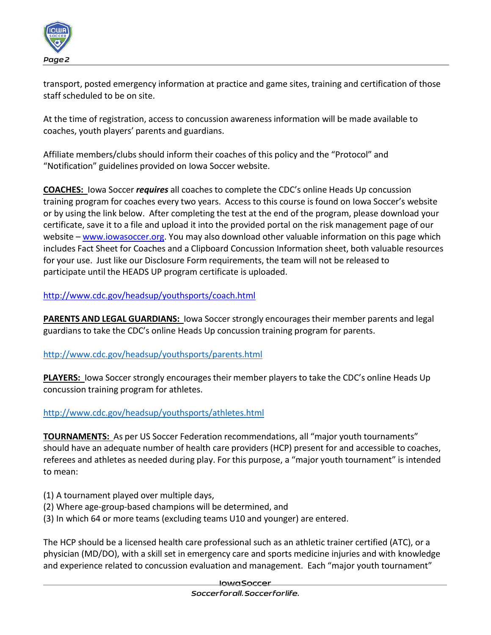

transport, posted emergency information at practice and game sites, training and certification of those staff scheduled to be on site.

At the time of registration, access to concussion awareness information will be made available to coaches, youth players' parents and guardians.

Affiliate members/clubs should inform their coaches of this policy and the "Protocol" and "Notification" guidelines provided on Iowa Soccer website.

**COACHES:** Iowa Soccer *requires* all coaches to complete the CDC's online Heads Up concussion training program for coaches every two years. Access to this course is found on Iowa Soccer's website or by using the link below. After completing the test at the end of the program, please download your certificate, save it to a file and upload it into the provided portal on the risk management page of our website – [www.iowasoccer.org.](http://www.iowasoccer.org/) You may also download other valuable information on this page which includes Fact Sheet for Coaches and a Clipboard Concussion Information sheet, both valuable resources for your use. Just like our Disclosure Form requirements, the team will not be released to participate until the HEADS UP program certificate is uploaded.

<http://www.cdc.gov/headsup/youthsports/coach.html>

**PARENTS AND LEGAL GUARDIANS:** Iowa Soccer strongly encouragestheir member parents and legal guardians to take the CDC's online Heads Up concussion training program for parents.

#### <http://www.cdc.gov/headsup/youthsports/parents.html>

**PLAYERS:** Iowa Soccer strongly encouragestheir member players to take the CDC's online Heads Up concussion training program for athletes.

#### <http://www.cdc.gov/headsup/youthsports/athletes.html>

**TOURNAMENTS:** As per US Soccer Federation recommendations, all "major youth tournaments" should have an adequate number of health care providers (HCP) present for and accessible to coaches, referees and athletes as needed during play. For this purpose, a "major youth tournament" is intended to mean:

- (1) A tournament played over multiple days,
- (2) Where age-group-based champions will be determined, and
- (3) In which 64 or more teams (excluding teams U10 and younger) are entered.

The HCP should be a licensed health care professional such as an athletic trainer certified (ATC), or a physician (MD/DO), with a skill set in emergency care and sports medicine injuries and with knowledge and experience related to concussion evaluation and management. Each "major youth tournament"

#### **InwaSoccer**

Soccerforall, Soccerforlife,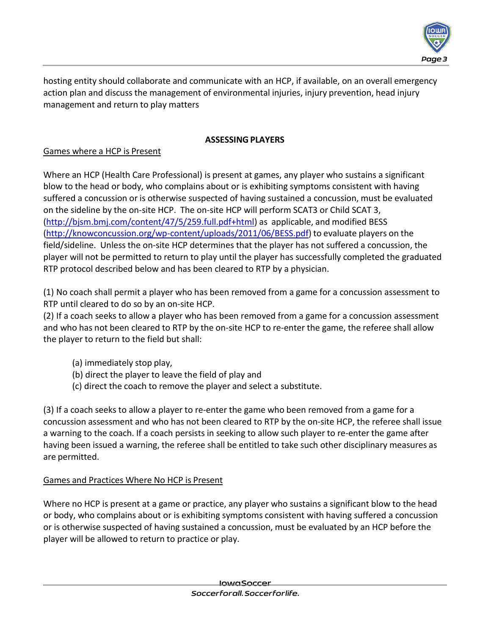

hosting entity should collaborate and communicate with an HCP, if available, on an overall emergency action plan and discuss the management of environmental injuries, injury prevention, head injury management and return to play matters

### **ASSESSING PLAYERS**

# Games where a HCP is Present

Where an HCP (Health Care Professional) is present at games, any player who sustains a significant blow to the head or body, who complains about or is exhibiting symptoms consistent with having suffered a concussion or is otherwise suspected of having sustained a concussion, must be evaluated on the sideline by the on-site HCP. The on-site HCP will perform SCAT3 or Child SCAT 3, [\(http://bjsm.bmj.com/content/47/5/259.full.pdf+html\)](http://bjsm.bmj.com/content/47/5/259.full.pdf%2Bhtml) as applicable, and modified BESS [\(http://knowconcussion.org/wp-content/uploads/2011/06/BESS.pdf\)](http://knowconcussion.org/wp-content/uploads/2011/06/BESS.pdf) to evaluate players on the field/sideline. Unless the on-site HCP determines that the player has not suffered a concussion, the player will not be permitted to return to play until the player has successfully completed the graduated RTP protocol described below and has been cleared to RTP by a physician.

(1) No coach shall permit a player who has been removed from a game for a concussion assessment to RTP until cleared to do so by an on-site HCP.

(2) If a coach seeks to allow a player who has been removed from a game for a concussion assessment and who has not been cleared to RTP by the on-site HCP to re-enter the game, the referee shall allow the player to return to the field but shall:

- (a) immediately stop play,
- (b) direct the player to leave the field of play and
- (c) direct the coach to remove the player and select a substitute.

(3) If a coach seeks to allow a player to re-enter the game who been removed from a game for a concussion assessment and who has not been cleared to RTP by the on-site HCP, the referee shall issue a warning to the coach. If a coach persists in seeking to allow such player to re-enter the game after having been issued a warning, the referee shall be entitled to take such other disciplinary measures as are permitted.

# Games and Practices Where No HCP is Present

Where no HCP is present at a game or practice, any player who sustains a significant blow to the head or body, who complains about or is exhibiting symptoms consistent with having suffered a concussion or is otherwise suspected of having sustained a concussion, must be evaluated by an HCP before the player will be allowed to return to practice or play.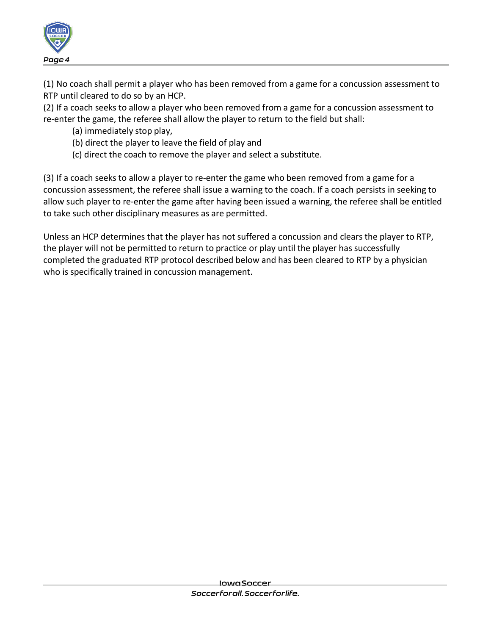

(1) No coach shall permit a player who has been removed from a game for a concussion assessment to RTP until cleared to do so by an HCP.

(2) If a coach seeks to allow a player who been removed from a game for a concussion assessment to re-enter the game, the referee shall allow the player to return to the field but shall:

- (a) immediately stop play,
- (b) direct the player to leave the field of play and
- (c) direct the coach to remove the player and select a substitute.

(3) If a coach seeks to allow a player to re-enter the game who been removed from a game for a concussion assessment, the referee shall issue a warning to the coach. If a coach persists in seeking to allow such player to re-enter the game after having been issued a warning, the referee shall be entitled to take such other disciplinary measures as are permitted.

Unless an HCP determines that the player has not suffered a concussion and clears the player to RTP, the player will not be permitted to return to practice or play until the player has successfully completed the graduated RTP protocol described below and has been cleared to RTP by a physician who is specifically trained in concussion management.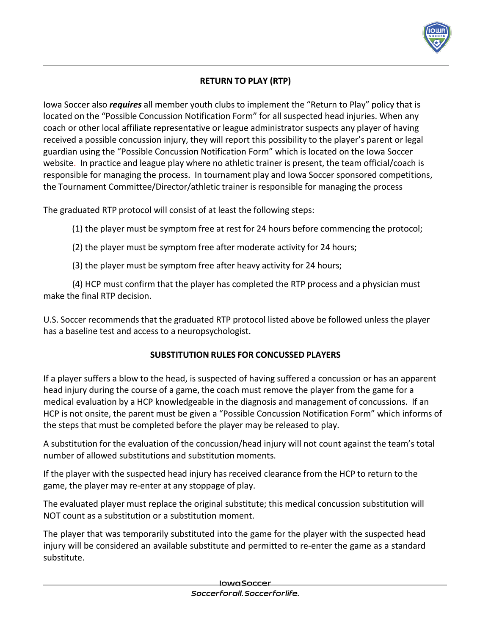

# **RETURN TO PLAY (RTP)**

Iowa Soccer also *requires* all member youth clubs to implement the "Return to Play" policy that is located on the "Possible Concussion Notification Form" for all suspected head injuries. When any coach or other local affiliate representative or league administrator suspects any player of having received a possible concussion injury, they will report this possibility to the player's parent or legal guardian using the "Possible Concussion Notification Form" which is located on the Iowa Soccer website. In practice and league play where no athletic trainer is present, the team official/coach is responsible for managing the process. In tournament play and Iowa Soccer sponsored competitions, the Tournament Committee/Director/athletic trainer is responsible for managing the process

The graduated RTP protocol will consist of at least the following steps:

(1) the player must be symptom free at rest for 24 hours before commencing the protocol;

- (2) the player must be symptom free after moderate activity for 24 hours;
- (3) the player must be symptom free after heavy activity for 24 hours;

(4) HCP must confirm that the player has completed the RTP process and a physician must make the final RTP decision.

U.S. Soccer recommends that the graduated RTP protocol listed above be followed unless the player has a baseline test and access to a neuropsychologist.

# **SUBSTITUTION RULES FOR CONCUSSED PLAYERS**

If a player suffers a blow to the head, is suspected of having suffered a concussion or has an apparent head injury during the course of a game, the coach must remove the player from the game for a medical evaluation by a HCP knowledgeable in the diagnosis and management of concussions. If an HCP is not onsite, the parent must be given a "Possible Concussion Notification Form" which informs of the steps that must be completed before the player may be released to play.

A substitution for the evaluation of the concussion/head injury will not count against the team's total number of allowed substitutions and substitution moments.

If the player with the suspected head injury has received clearance from the HCP to return to the game, the player may re-enter at any stoppage of play.

The evaluated player must replace the original substitute; this medical concussion substitution will NOT count as a substitution or a substitution moment.

The player that was temporarily substituted into the game for the player with the suspected head injury will be considered an available substitute and permitted to re-enter the game as a standard substitute.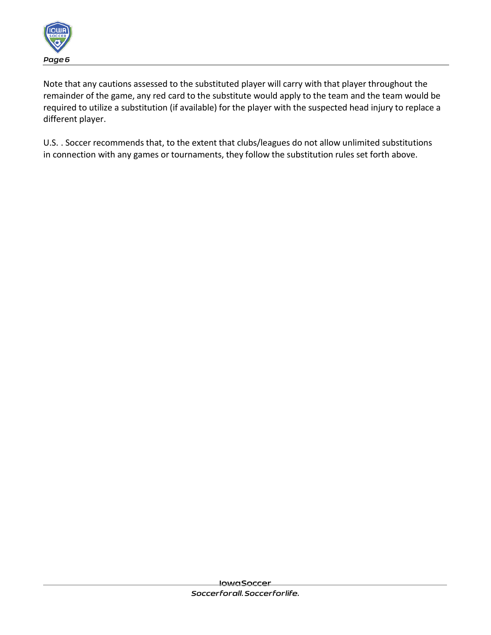

Note that any cautions assessed to the substituted player will carry with that player throughout the remainder of the game, any red card to the substitute would apply to the team and the team would be required to utilize a substitution (if available) for the player with the suspected head injury to replace a different player.

U.S. . Soccer recommends that, to the extent that clubs/leagues do not allow unlimited substitutions in connection with any games or tournaments, they follow the substitution rules set forth above.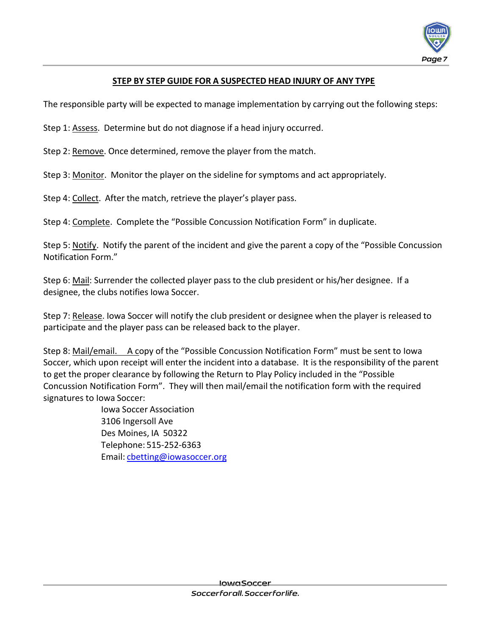

# **STEP BY STEP GUIDE FOR A SUSPECTED HEAD INJURY OF ANY TYPE**

The responsible party will be expected to manage implementation by carrying out the following steps:

Step 1: Assess. Determine but do not diagnose if a head injury occurred.

Step 2: Remove. Once determined, remove the player from the match.

Step 3: Monitor. Monitor the player on the sideline for symptoms and act appropriately.

Step 4: Collect. After the match, retrieve the player's player pass.

Step 4: Complete. Complete the "Possible Concussion Notification Form" in duplicate.

Step 5: Notify. Notify the parent of the incident and give the parent a copy of the "Possible Concussion Notification Form."

Step 6: Mail: Surrender the collected player pass to the club president or his/her designee. If a designee, the clubs notifies Iowa Soccer.

Step 7: Release. Iowa Soccer will notify the club president or designee when the player is released to participate and the player pass can be released back to the player.

Step 8: Mail/email. A copy of the "Possible Concussion Notification Form" must be sent to Iowa Soccer, which upon receipt will enter the incident into a database. It is the responsibility of the parent to get the proper clearance by following the Return to Play Policy included in the "Possible Concussion Notification Form". They will then mail/email the notification form with the required signatures to Iowa Soccer:

> Iowa Soccer Association 3106 Ingersoll Ave Des Moines, IA 50322 Telephone: 515-252-6363 Email: cbetting@iowasoccer.org